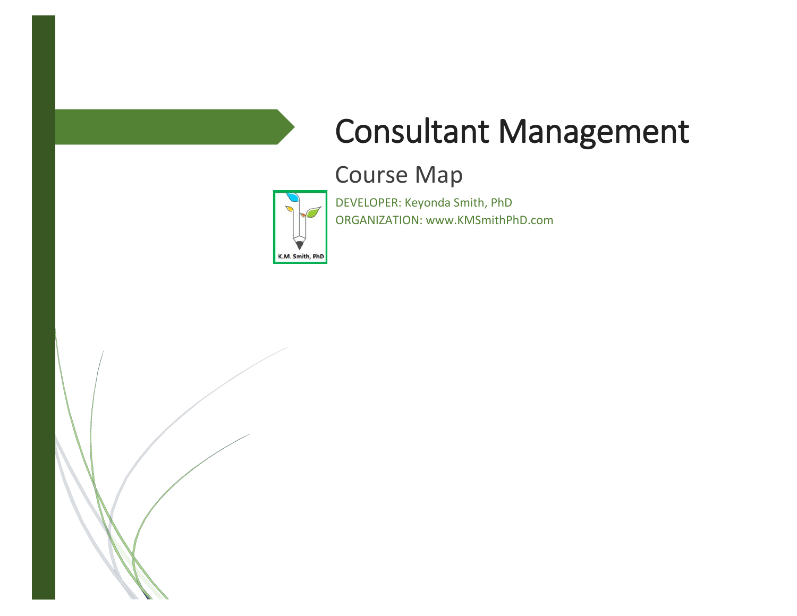# Consultant Management

# Course Map



DEVELOPER: Keyonda Smith, PhD ORGANIZATION: www.KMSmithPhD.com

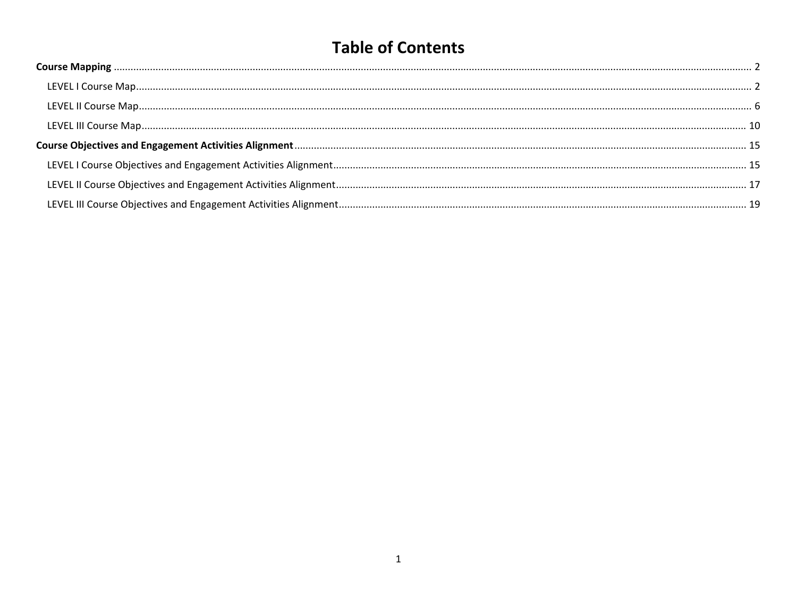# **Table of Contents**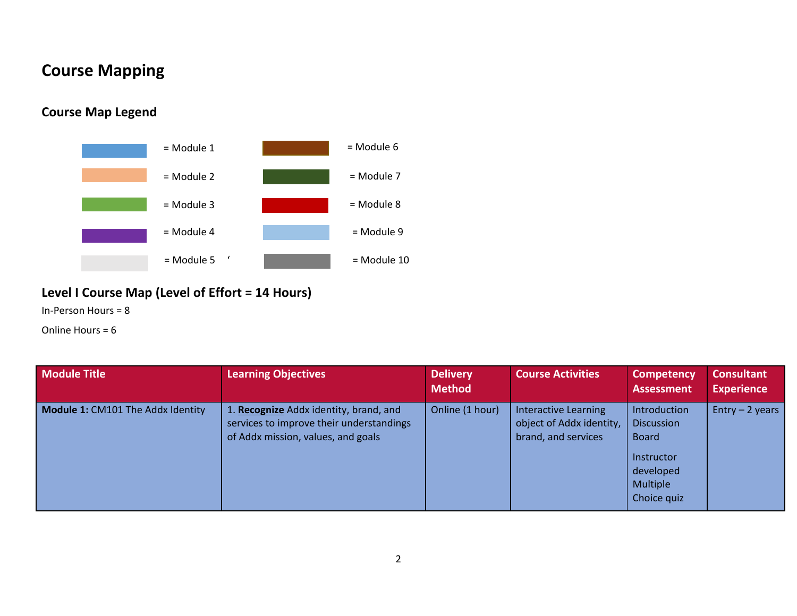## <span id="page-2-0"></span>**Course Mapping**

#### **Course Map Legend**



#### <span id="page-2-1"></span>**Level I Course Map (Level of Effort = 14 Hours)**

In-Person Hours = 8

Online Hours = 6

| <b>Module Title</b>                      | <b>Learning Objectives</b>                                                                                               | <b>Delivery</b><br><b>Method</b> | <b>Course Activities</b>                                                | <b>Competency</b><br><b>Assessment</b>                                                                                | <b>Consultant</b><br><b>Experience</b> |
|------------------------------------------|--------------------------------------------------------------------------------------------------------------------------|----------------------------------|-------------------------------------------------------------------------|-----------------------------------------------------------------------------------------------------------------------|----------------------------------------|
| <b>Module 1: CM101 The Addx Identity</b> | 1. Recognize Addx identity, brand, and<br>services to improve their understandings<br>of Addx mission, values, and goals | Online (1 hour)                  | Interactive Learning<br>object of Addx identity,<br>brand, and services | <b>Introduction</b><br><b>Discussion</b><br><b>Board</b><br>Instructor<br>developed<br><b>Multiple</b><br>Choice quiz | Entry $-2$ years                       |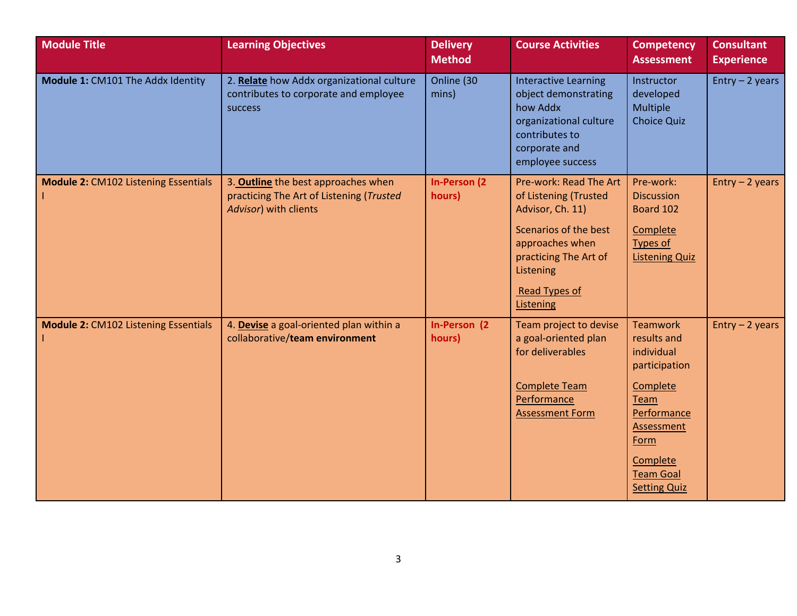| <b>Module Title</b>                         | <b>Learning Objectives</b>                                                                               | <b>Delivery</b><br><b>Method</b> | <b>Course Activities</b>                                                                                                                                                                   | <b>Competency</b><br><b>Assessment</b>                                                                                                                                               | <b>Consultant</b><br><b>Experience</b> |
|---------------------------------------------|----------------------------------------------------------------------------------------------------------|----------------------------------|--------------------------------------------------------------------------------------------------------------------------------------------------------------------------------------------|--------------------------------------------------------------------------------------------------------------------------------------------------------------------------------------|----------------------------------------|
| Module 1: CM101 The Addx Identity           | 2. Relate how Addx organizational culture<br>contributes to corporate and employee<br>success            | Online (30<br>mins)              | <b>Interactive Learning</b><br>object demonstrating<br>how Addx<br>organizational culture<br>contributes to<br>corporate and<br>employee success                                           | Instructor<br>developed<br>Multiple<br><b>Choice Quiz</b>                                                                                                                            | Entry $-2$ years                       |
| <b>Module 2: CM102 Listening Essentials</b> | 3. Outline the best approaches when<br>practicing The Art of Listening (Trusted<br>Advisor) with clients | <b>In-Person (2)</b><br>hours)   | Pre-work: Read The Art<br>of Listening (Trusted<br>Advisor, Ch. 11)<br>Scenarios of the best<br>approaches when<br>practicing The Art of<br>Listening<br><b>Read Types of</b><br>Listening | Pre-work:<br><b>Discussion</b><br>Board 102<br>Complete<br>Types of<br><b>Listening Quiz</b>                                                                                         | $Entry - 2 years$                      |
| <b>Module 2: CM102 Listening Essentials</b> | 4. Devise a goal-oriented plan within a<br>collaborative/team environment                                | In-Person (2)<br>hours)          | Team project to devise<br>a goal-oriented plan<br>for deliverables<br><b>Complete Team</b><br>Performance<br><b>Assessment Form</b>                                                        | <b>Teamwork</b><br>results and<br>individual<br>participation<br>Complete<br>Team<br>Performance<br><b>Assessment</b><br>Form<br>Complete<br><b>Team Goal</b><br><b>Setting Quiz</b> | $Entry - 2 years$                      |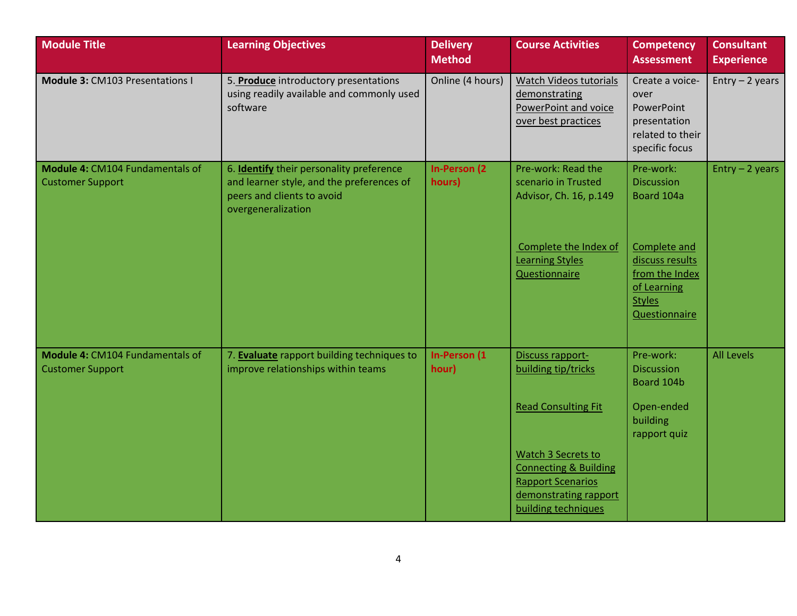| <b>Module Title</b>                                        | <b>Learning Objectives</b>                                                                                                                       | <b>Delivery</b><br><b>Method</b> | <b>Course Activities</b>                                                                                                           | <b>Competency</b><br><b>Assessment</b>                                                             | <b>Consultant</b><br><b>Experience</b> |
|------------------------------------------------------------|--------------------------------------------------------------------------------------------------------------------------------------------------|----------------------------------|------------------------------------------------------------------------------------------------------------------------------------|----------------------------------------------------------------------------------------------------|----------------------------------------|
| Module 3: CM103 Presentations I                            | 5. Produce introductory presentations<br>using readily available and commonly used<br>software                                                   | Online (4 hours)                 | Watch Videos tutorials<br>demonstrating<br>PowerPoint and voice<br>over best practices                                             | Create a voice-<br>over<br>PowerPoint<br>presentation<br>related to their<br>specific focus        | $Entry - 2 years$                      |
| Module 4: CM104 Fundamentals of<br><b>Customer Support</b> | 6. <b>Identify</b> their personality preference<br>and learner style, and the preferences of<br>peers and clients to avoid<br>overgeneralization | <b>In-Person (2)</b><br>hours)   | Pre-work: Read the<br>scenario in Trusted<br>Advisor, Ch. 16, p.149                                                                | Pre-work:<br><b>Discussion</b><br>Board 104a                                                       | $Entry - 2 years$                      |
|                                                            |                                                                                                                                                  |                                  | Complete the Index of<br><b>Learning Styles</b><br><b>Questionnaire</b>                                                            | Complete and<br>discuss results<br>from the Index<br>of Learning<br><b>Styles</b><br>Questionnaire |                                        |
| Module 4: CM104 Fundamentals of<br><b>Customer Support</b> | 7. Evaluate rapport building techniques to<br>improve relationships within teams                                                                 | In-Person (1<br>hour)            | Discuss rapport-<br>building tip/tricks                                                                                            | Pre-work:<br><b>Discussion</b><br>Board 104b                                                       | <b>All Levels</b>                      |
|                                                            |                                                                                                                                                  |                                  | <b>Read Consulting Fit</b>                                                                                                         | Open-ended<br>building<br>rapport quiz                                                             |                                        |
|                                                            |                                                                                                                                                  |                                  | Watch 3 Secrets to<br><b>Connecting &amp; Building</b><br><b>Rapport Scenarios</b><br>demonstrating rapport<br>building techniques |                                                                                                    |                                        |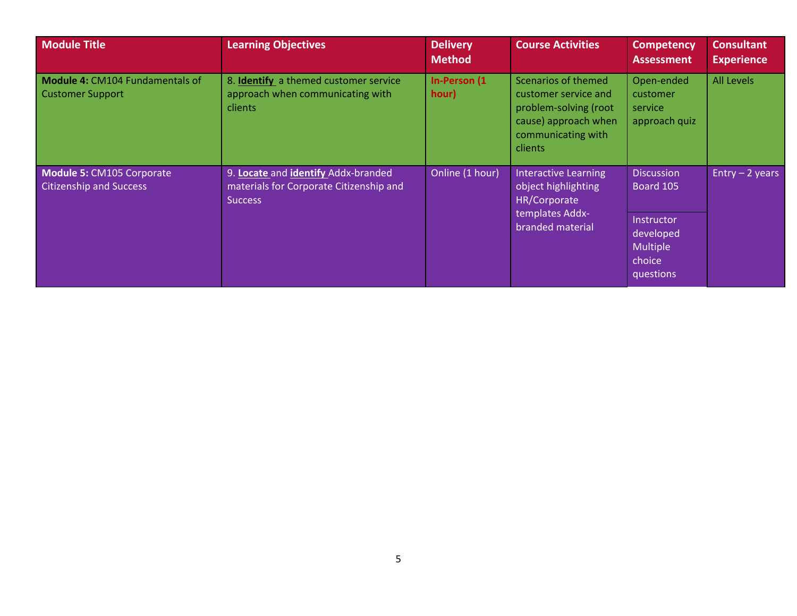| <b>Module Title</b>                                         | <b>Learning Objectives</b>                                                                       | <b>Delivery</b><br><b>Method</b> | <b>Course Activities</b>                                                                                                             | <b>Competency</b><br><b>Assessment</b>                            | <b>Consultant</b><br><b>Experience</b> |
|-------------------------------------------------------------|--------------------------------------------------------------------------------------------------|----------------------------------|--------------------------------------------------------------------------------------------------------------------------------------|-------------------------------------------------------------------|----------------------------------------|
| Module 4: CM104 Fundamentals of<br><b>Customer Support</b>  | 8. Identify a themed customer service<br>approach when communicating with<br>clients             | In-Person (1<br>hour)            | Scenarios of themed<br>customer service and<br>problem-solving (root<br>cause) approach when<br>communicating with<br><b>clients</b> | Open-ended<br>customer<br>service<br>approach quiz                | <b>All Levels</b>                      |
| Module 5: CM105 Corporate<br><b>Citizenship and Success</b> | 9. Locate and identify Addx-branded<br>materials for Corporate Citizenship and<br><b>Success</b> | Online (1 hour)                  | Interactive Learning<br>object highlighting<br>HR/Corporate<br>templates Addx-<br>branded material                                   | <b>Discussion</b><br>Board 105                                    | Entry $-2$ years                       |
|                                                             |                                                                                                  |                                  |                                                                                                                                      | Instructor<br>developed<br><b>Multiple</b><br>choice<br>questions |                                        |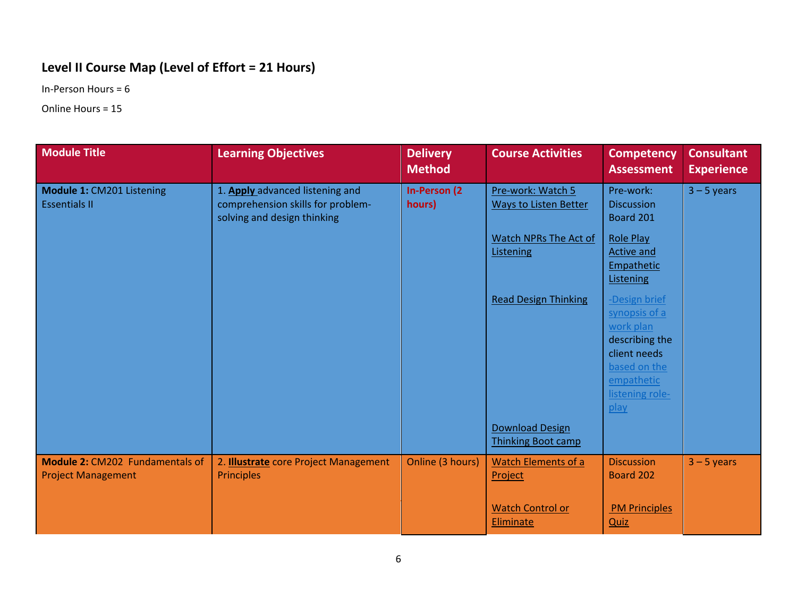#### <span id="page-6-0"></span>**Level II Course Map (Level of Effort = 21 Hours)**

In-Person Hours = 6

Online Hours = 15

| <b>Module Title</b>                                                 | <b>Learning Objectives</b>                                                                          | <b>Delivery</b><br><b>Method</b> | <b>Course Activities</b>                            | <b>Competency</b><br><b>Assessment</b>                                                                                                 | <b>Consultant</b><br><b>Experience</b> |
|---------------------------------------------------------------------|-----------------------------------------------------------------------------------------------------|----------------------------------|-----------------------------------------------------|----------------------------------------------------------------------------------------------------------------------------------------|----------------------------------------|
| Module 1: CM201 Listening<br><b>Essentials II</b>                   | 1. Apply advanced listening and<br>comprehension skills for problem-<br>solving and design thinking | <b>In-Person (2)</b><br>hours)   | Pre-work: Watch 5<br>Ways to Listen Better          | Pre-work:<br><b>Discussion</b><br>Board 201                                                                                            | $3 - 5$ years                          |
|                                                                     |                                                                                                     |                                  | Watch NPRs The Act of<br>Listening                  | <b>Role Play</b><br>Active and<br>Empathetic<br>Listening                                                                              |                                        |
|                                                                     |                                                                                                     |                                  | <b>Read Design Thinking</b>                         | -Design brief<br>synopsis of a<br>work plan<br>describing the<br>client needs<br>based on the<br>empathetic<br>listening role-<br>play |                                        |
|                                                                     |                                                                                                     |                                  | <b>Download Design</b><br><b>Thinking Boot camp</b> |                                                                                                                                        |                                        |
| <b>Module 2: CM202 Fundamentals of</b><br><b>Project Management</b> | 2. <b>Illustrate</b> core Project Management<br><b>Principles</b>                                   | Online (3 hours)                 | <b>Watch Elements of a</b><br>Project               | <b>Discussion</b><br>Board 202                                                                                                         | $3 - 5$ years                          |
|                                                                     |                                                                                                     |                                  | <b>Watch Control or</b><br>Eliminate                | <b>PM Principles</b><br><b>Quiz</b>                                                                                                    |                                        |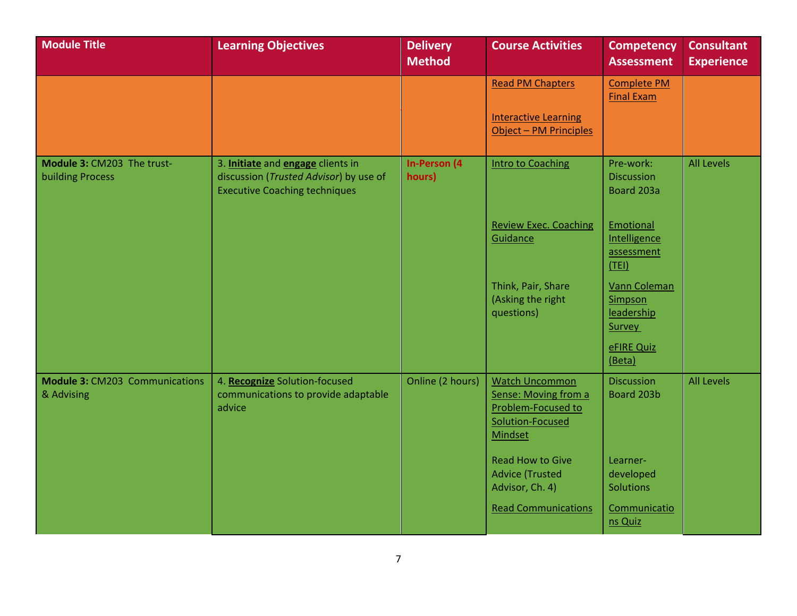| <b>Module Title</b>                                   | <b>Learning Objectives</b>                                                                                          | <b>Delivery</b><br><b>Method</b> | <b>Course Activities</b>                                                                                  | <b>Competency</b><br><b>Assessment</b>           | <b>Consultant</b><br><b>Experience</b> |
|-------------------------------------------------------|---------------------------------------------------------------------------------------------------------------------|----------------------------------|-----------------------------------------------------------------------------------------------------------|--------------------------------------------------|----------------------------------------|
|                                                       |                                                                                                                     |                                  | <b>Read PM Chapters</b>                                                                                   | <b>Complete PM</b><br><b>Final Exam</b>          |                                        |
|                                                       |                                                                                                                     |                                  | <b>Interactive Learning</b><br>Object - PM Principles                                                     |                                                  |                                        |
| Module 3: CM203 The trust-<br><b>building Process</b> | 3. Initiate and engage clients in<br>discussion (Trusted Advisor) by use of<br><b>Executive Coaching techniques</b> | <b>In-Person (4</b><br>hours)    | <b>Intro to Coaching</b>                                                                                  | Pre-work:<br><b>Discussion</b><br>Board 203a     | <b>All Levels</b>                      |
|                                                       |                                                                                                                     |                                  | <b>Review Exec. Coaching</b><br>Guidance                                                                  | Emotional<br>Intelligence<br>assessment<br>(TEI) |                                        |
|                                                       |                                                                                                                     |                                  | Think, Pair, Share<br>(Asking the right<br>questions)                                                     | Vann Coleman<br>Simpson<br>leadership<br>Survey  |                                        |
|                                                       |                                                                                                                     |                                  |                                                                                                           | eFIRE Quiz<br>(Beta)                             |                                        |
| <b>Module 3: CM203 Communications</b><br>& Advising   | 4. Recognize Solution-focused<br>communications to provide adaptable<br>advice                                      | Online (2 hours)                 | <b>Watch Uncommon</b><br>Sense: Moving from a<br>Problem-Focused to<br>Solution-Focused<br><b>Mindset</b> | <b>Discussion</b><br>Board 203b                  | <b>All Levels</b>                      |
|                                                       |                                                                                                                     |                                  | <b>Read How to Give</b><br><b>Advice (Trusted</b><br>Advisor, Ch. 4)                                      | Learner-<br>developed<br>Solutions               |                                        |
|                                                       |                                                                                                                     |                                  | <b>Read Communications</b>                                                                                | Communicatio<br>ns Quiz                          |                                        |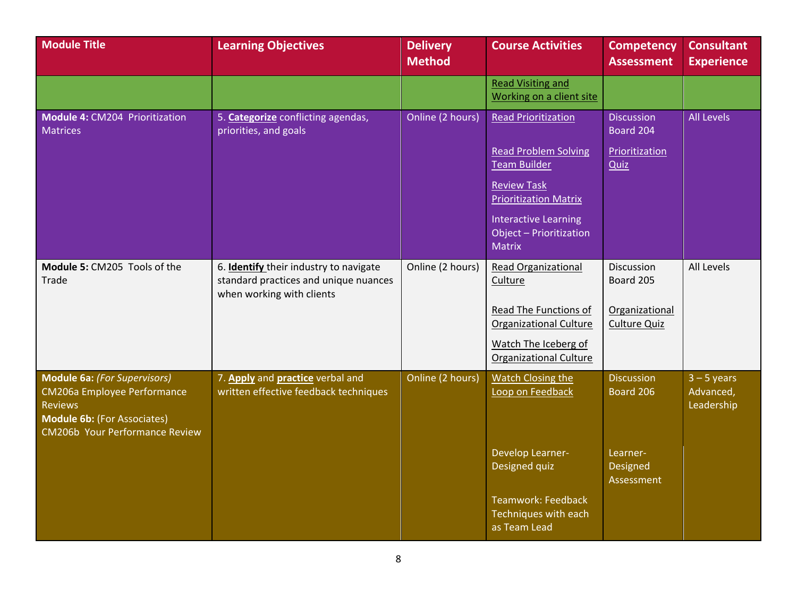| <b>Module Title</b>                                                                                                                                   | <b>Learning Objectives</b>                                                                                   | <b>Delivery</b><br><b>Method</b> | <b>Course Activities</b>                                                | <b>Competency</b><br><b>Assessment</b> | <b>Consultant</b><br><b>Experience</b>   |
|-------------------------------------------------------------------------------------------------------------------------------------------------------|--------------------------------------------------------------------------------------------------------------|----------------------------------|-------------------------------------------------------------------------|----------------------------------------|------------------------------------------|
|                                                                                                                                                       |                                                                                                              |                                  | <b>Read Visiting and</b><br>Working on a client site                    |                                        |                                          |
| Module 4: CM204 Prioritization<br><b>Matrices</b>                                                                                                     | 5. Categorize conflicting agendas,<br>priorities, and goals                                                  | Online (2 hours)                 | <b>Read Prioritization</b>                                              | <b>Discussion</b><br>Board 204         | <b>All Levels</b>                        |
|                                                                                                                                                       |                                                                                                              |                                  | <b>Read Problem Solving</b><br><b>Team Builder</b>                      | Prioritization<br>Quiz                 |                                          |
|                                                                                                                                                       |                                                                                                              |                                  | <b>Review Task</b><br><b>Prioritization Matrix</b>                      |                                        |                                          |
|                                                                                                                                                       |                                                                                                              |                                  | <b>Interactive Learning</b><br>Object - Prioritization<br><b>Matrix</b> |                                        |                                          |
| Module 5: CM205 Tools of the<br>Trade                                                                                                                 | 6. Identify their industry to navigate<br>standard practices and unique nuances<br>when working with clients | Online (2 hours)                 | <b>Read Organizational</b><br>Culture                                   | Discussion<br>Board 205                | All Levels                               |
|                                                                                                                                                       |                                                                                                              |                                  | Read The Functions of<br><b>Organizational Culture</b>                  | Organizational<br><b>Culture Quiz</b>  |                                          |
|                                                                                                                                                       |                                                                                                              |                                  | Watch The Iceberg of<br><b>Organizational Culture</b>                   |                                        |                                          |
| Module 6a: (For Supervisors)<br>CM206a Employee Performance<br><b>Reviews</b><br><b>Module 6b: (For Associates)</b><br>CM206b Your Performance Review | 7. Apply and practice verbal and<br>written effective feedback techniques                                    | Online (2 hours)                 | Watch Closing the<br>Loop on Feedback                                   | <b>Discussion</b><br>Board 206         | $3 - 5$ years<br>Advanced,<br>Leadership |
|                                                                                                                                                       |                                                                                                              |                                  | Develop Learner-<br>Designed quiz                                       | Learner-<br>Designed<br>Assessment     |                                          |
|                                                                                                                                                       |                                                                                                              |                                  | Teamwork: Feedback<br>Techniques with each<br>as Team Lead              |                                        |                                          |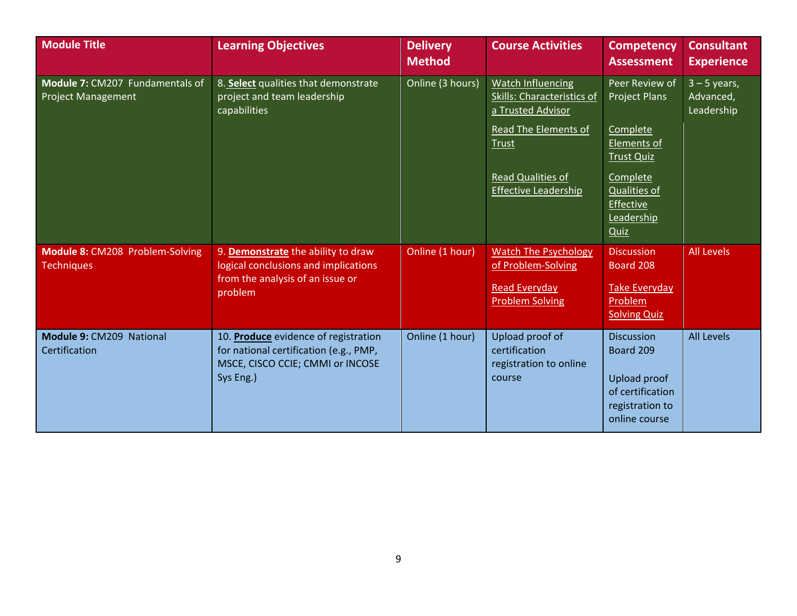| <b>Module Title</b>                                          | <b>Learning Objectives</b>                                                                                                      | <b>Delivery</b><br><b>Method</b> | <b>Course Activities</b>                                                                                                                                                              | <b>Competency</b><br><b>Assessment</b>                                                                                                                       | <b>Consultant</b><br><b>Experience</b>    |
|--------------------------------------------------------------|---------------------------------------------------------------------------------------------------------------------------------|----------------------------------|---------------------------------------------------------------------------------------------------------------------------------------------------------------------------------------|--------------------------------------------------------------------------------------------------------------------------------------------------------------|-------------------------------------------|
| Module 7: CM207 Fundamentals of<br><b>Project Management</b> | 8. Select qualities that demonstrate<br>project and team leadership<br>capabilities                                             | Online (3 hours)                 | <b>Watch Influencing</b><br><b>Skills: Characteristics of</b><br>a Trusted Advisor<br>Read The Elements of<br><b>Trust</b><br><b>Read Qualities of</b><br><b>Effective Leadership</b> | Peer Review of<br>Project Plans<br>Complete<br>Elements of<br><b>Trust Quiz</b><br>Complete<br>Qualities of<br><b>Effective</b><br>Leadership<br><b>Quiz</b> | $3 - 5$ years,<br>Advanced,<br>Leadership |
| Module 8: CM208 Problem-Solving<br><b>Techniques</b>         | 9. Demonstrate the ability to draw<br>logical conclusions and implications<br>from the analysis of an issue or<br>problem       | Online (1 hour)                  | <b>Watch The Psychology</b><br>of Problem-Solving<br><b>Read Everyday</b><br><b>Problem Solving</b>                                                                                   | <b>Discussion</b><br>Board 208<br><b>Take Everyday</b><br>Problem<br><b>Solving Quiz</b>                                                                     | <b>All Levels</b>                         |
| Module 9: CM209 National<br>Certification                    | 10. Produce evidence of registration<br>for national certification (e.g., PMP,<br>MSCE, CISCO CCIE; CMMI or INCOSE<br>Sys Eng.) | Online (1 hour)                  | Upload proof of<br>certification<br>registration to online<br>course                                                                                                                  | <b>Discussion</b><br>Board 209<br>Upload proof<br>of certification<br>registration to<br>online course                                                       | <b>All Levels</b>                         |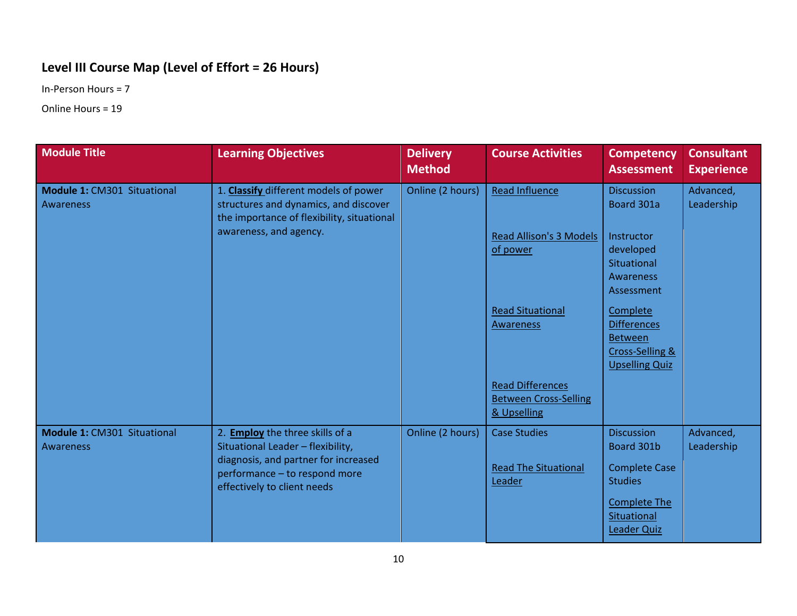#### <span id="page-10-0"></span>**Level III Course Map (Level of Effort = 26 Hours)**

In-Person Hours = 7

Online Hours = 19

| <b>Module Title</b>                             | <b>Learning Objectives</b>                                                                                                                                                          | <b>Delivery</b><br><b>Method</b> | <b>Course Activities</b>                                                                                                                                                              | <b>Competency</b><br><b>Assessment</b>                                                                                                                                                                      | <b>Consultant</b><br><b>Experience</b> |
|-------------------------------------------------|-------------------------------------------------------------------------------------------------------------------------------------------------------------------------------------|----------------------------------|---------------------------------------------------------------------------------------------------------------------------------------------------------------------------------------|-------------------------------------------------------------------------------------------------------------------------------------------------------------------------------------------------------------|----------------------------------------|
| Module 1: CM301 Situational<br><b>Awareness</b> | 1. Classify different models of power<br>structures and dynamics, and discover<br>the importance of flexibility, situational<br>awareness, and agency.                              | Online (2 hours)                 | Read Influence<br><b>Read Allison's 3 Models</b><br>of power<br><b>Read Situational</b><br><b>Awareness</b><br><b>Read Differences</b><br><b>Between Cross-Selling</b><br>& Upselling | <b>Discussion</b><br>Board 301a<br>Instructor<br>developed<br>Situational<br><b>Awareness</b><br>Assessment<br>Complete<br><b>Differences</b><br><b>Between</b><br>Cross-Selling &<br><b>Upselling Quiz</b> | Advanced,<br>Leadership                |
| Module 1: CM301 Situational<br><b>Awareness</b> | 2. <b>Employ</b> the three skills of a<br>Situational Leader - flexibility,<br>diagnosis, and partner for increased<br>performance - to respond more<br>effectively to client needs | Online (2 hours)                 | <b>Case Studies</b><br><b>Read The Situational</b><br>Leader                                                                                                                          | <b>Discussion</b><br>Board 301b<br><b>Complete Case</b><br><b>Studies</b><br><b>Complete The</b><br>Situational<br><b>Leader Quiz</b>                                                                       | Advanced,<br>Leadership                |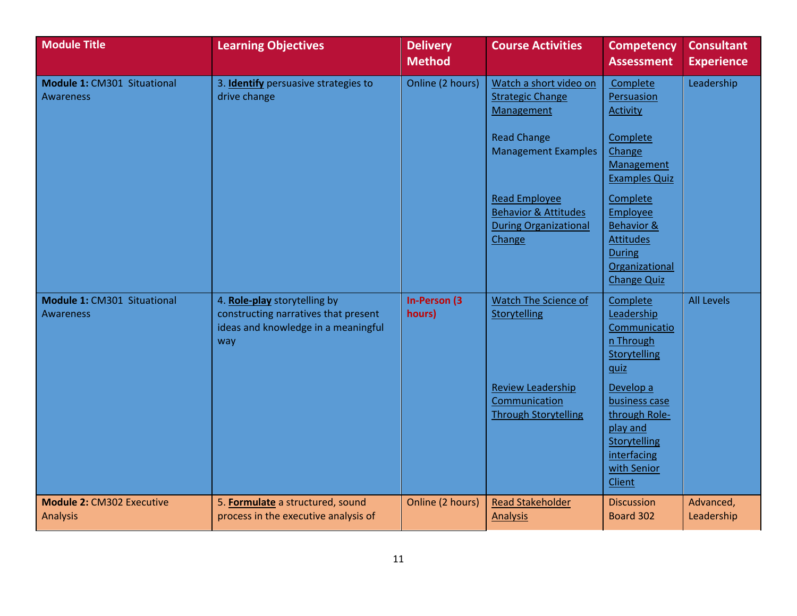| <b>Module Title</b>                                 | <b>Learning Objectives</b>                                                                                         | <b>Delivery</b><br><b>Method</b> | <b>Course Activities</b>                                                                                            | <b>Competency</b><br><b>Assessment</b>                                                                                 | <b>Consultant</b><br><b>Experience</b> |
|-----------------------------------------------------|--------------------------------------------------------------------------------------------------------------------|----------------------------------|---------------------------------------------------------------------------------------------------------------------|------------------------------------------------------------------------------------------------------------------------|----------------------------------------|
| Module 1: CM301 Situational<br><b>Awareness</b>     | 3. Identify persuasive strategies to<br>drive change                                                               | Online (2 hours)                 | Watch a short video on<br><b>Strategic Change</b><br>Management<br><b>Read Change</b><br><b>Management Examples</b> | Complete<br>Persuasion<br>Activity<br>Complete<br>Change<br>Management<br><b>Examples Quiz</b>                         | Leadership                             |
|                                                     |                                                                                                                    |                                  | <b>Read Employee</b><br><b>Behavior &amp; Attitudes</b><br><b>During Organizational</b><br>Change                   | Complete<br><b>Employee</b><br>Behavior &<br><b>Attitudes</b><br><b>During</b><br>Organizational<br><b>Change Quiz</b> |                                        |
| Module 1: CM301 Situational<br><b>Awareness</b>     | 4. Role-play storytelling by<br>constructing narratives that present<br>ideas and knowledge in a meaningful<br>way | <b>In-Person (3)</b><br>hours)   | Watch The Science of<br>Storytelling                                                                                | Complete<br>Leadership<br>Communicatio<br>n Through<br>Storytelling<br>quiz                                            | <b>All Levels</b>                      |
|                                                     |                                                                                                                    |                                  | <b>Review Leadership</b><br>Communication<br><b>Through Storytelling</b>                                            | Develop a<br>business case<br>through Role-<br>play and<br>Storytelling<br>interfacing<br>with Senior<br>Client        |                                        |
| <b>Module 2: CM302 Executive</b><br><b>Analysis</b> | 5. Formulate a structured, sound<br>process in the executive analysis of                                           | Online (2 hours)                 | <b>Read Stakeholder</b><br><b>Analysis</b>                                                                          | <b>Discussion</b><br>Board 302                                                                                         | Advanced,<br>Leadership                |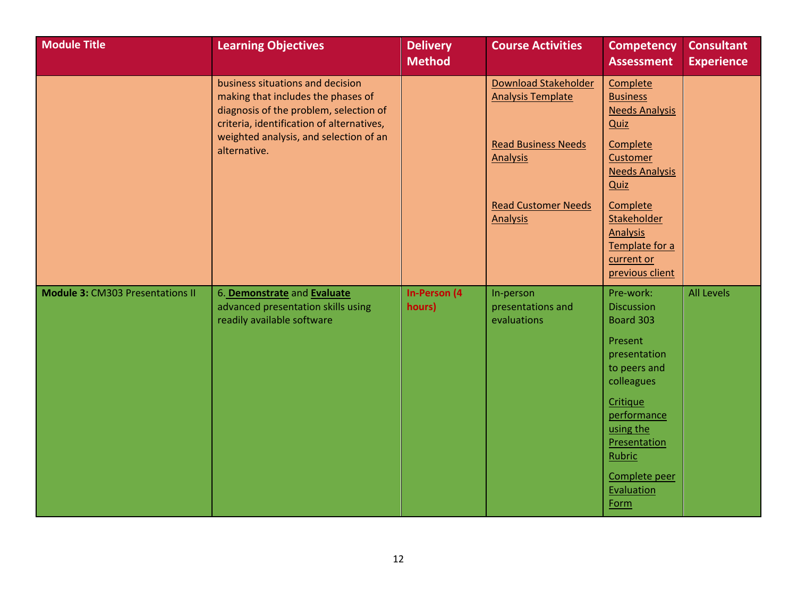| <b>Module Title</b>                     | <b>Learning Objectives</b>                                                                                                                                                                                              | <b>Delivery</b><br><b>Method</b> | <b>Course Activities</b>                                                                                                                           | <b>Competency</b><br><b>Assessment</b>                                                                                                                                                                               | <b>Consultant</b><br><b>Experience</b> |
|-----------------------------------------|-------------------------------------------------------------------------------------------------------------------------------------------------------------------------------------------------------------------------|----------------------------------|----------------------------------------------------------------------------------------------------------------------------------------------------|----------------------------------------------------------------------------------------------------------------------------------------------------------------------------------------------------------------------|----------------------------------------|
|                                         | business situations and decision<br>making that includes the phases of<br>diagnosis of the problem, selection of<br>criteria, identification of alternatives,<br>weighted analysis, and selection of an<br>alternative. |                                  | Download Stakeholder<br><b>Analysis Template</b><br><b>Read Business Needs</b><br><b>Analysis</b><br><b>Read Customer Needs</b><br><b>Analysis</b> | Complete<br><b>Business</b><br><b>Needs Analysis</b><br><b>Quiz</b><br>Complete<br>Customer<br><b>Needs Analysis</b><br><b>Quiz</b><br>Complete<br><b>Stakeholder</b><br><b>Analysis</b>                             |                                        |
|                                         |                                                                                                                                                                                                                         |                                  |                                                                                                                                                    | Template for a<br>current or<br>previous client                                                                                                                                                                      |                                        |
| <b>Module 3: CM303 Presentations II</b> | 6. Demonstrate and Evaluate<br>advanced presentation skills using<br>readily available software                                                                                                                         | <b>In-Person (4</b><br>hours)    | In-person<br>presentations and<br>evaluations                                                                                                      | Pre-work:<br><b>Discussion</b><br>Board 303<br>Present<br>presentation<br>to peers and<br>colleagues<br>Critique<br>performance<br>using the<br>Presentation<br><b>Rubric</b><br>Complete peer<br>Evaluation<br>Form | <b>All Levels</b>                      |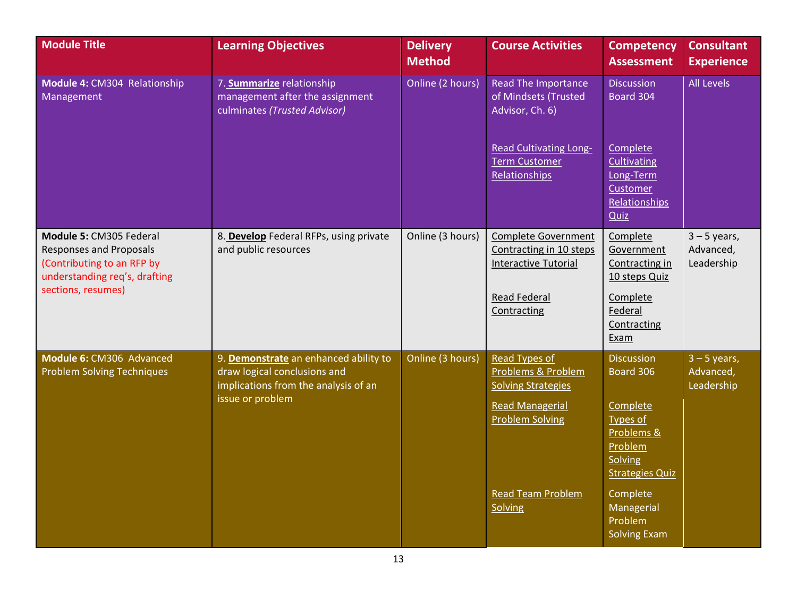| <b>Module Title</b>                                                                                                                            | <b>Learning Objectives</b>                                                                                                        | <b>Delivery</b><br><b>Method</b> | <b>Course Activities</b>                                                                                                                                    | <b>Competency</b><br><b>Assessment</b>                                                                                                                                                  | <b>Consultant</b><br><b>Experience</b>    |
|------------------------------------------------------------------------------------------------------------------------------------------------|-----------------------------------------------------------------------------------------------------------------------------------|----------------------------------|-------------------------------------------------------------------------------------------------------------------------------------------------------------|-----------------------------------------------------------------------------------------------------------------------------------------------------------------------------------------|-------------------------------------------|
| Module 4: CM304 Relationship<br>Management                                                                                                     | 7. Summarize relationship<br>management after the assignment<br>culminates (Trusted Advisor)                                      | Online (2 hours)                 | <b>Read The Importance</b><br>of Mindsets (Trusted<br>Advisor, Ch. 6)                                                                                       | <b>Discussion</b><br>Board 304                                                                                                                                                          | <b>All Levels</b>                         |
|                                                                                                                                                |                                                                                                                                   |                                  | <b>Read Cultivating Long-</b><br><b>Term Customer</b><br>Relationships                                                                                      | Complete<br>Cultivating<br>Long-Term<br>Customer<br>Relationships<br><b>Quiz</b>                                                                                                        |                                           |
| Module 5: CM305 Federal<br><b>Responses and Proposals</b><br>(Contributing to an RFP by<br>understanding req's, drafting<br>sections, resumes) | 8. Develop Federal RFPs, using private<br>and public resources                                                                    | Online (3 hours)                 | <b>Complete Government</b><br>Contracting in 10 steps<br><b>Interactive Tutorial</b><br><b>Read Federal</b><br>Contracting                                  | Complete<br>Government<br>Contracting in<br>10 steps Quiz<br>Complete<br>Federal<br>Contracting<br>Exam                                                                                 | $3 - 5$ years,<br>Advanced,<br>Leadership |
| Module 6: CM306 Advanced<br><b>Problem Solving Techniques</b>                                                                                  | 9. Demonstrate an enhanced ability to<br>draw logical conclusions and<br>implications from the analysis of an<br>issue or problem | Online (3 hours)                 | Read Types of<br>Problems & Problem<br><b>Solving Strategies</b><br><b>Read Managerial</b><br><b>Problem Solving</b><br><b>Read Team Problem</b><br>Solving | <b>Discussion</b><br>Board 306<br>Complete<br><b>Types of</b><br>Problems &<br>Problem<br>Solving<br><b>Strategies Quiz</b><br>Complete<br>Managerial<br>Problem<br><b>Solving Exam</b> | $3 - 5$ years,<br>Advanced,<br>Leadership |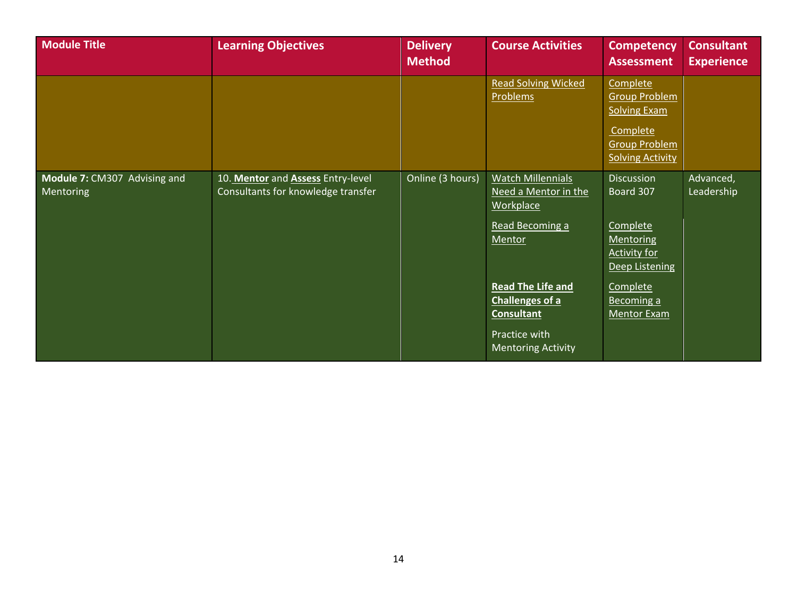| <b>Module Title</b>                       | <b>Learning Objectives</b>                                              | <b>Delivery</b><br><b>Method</b> | <b>Course Activities</b>                                                                                                                                                                                            | <b>Competency</b><br><b>Assessment</b>                                                                                                                  | <b>Consultant</b><br><b>Experience</b> |
|-------------------------------------------|-------------------------------------------------------------------------|----------------------------------|---------------------------------------------------------------------------------------------------------------------------------------------------------------------------------------------------------------------|---------------------------------------------------------------------------------------------------------------------------------------------------------|----------------------------------------|
|                                           |                                                                         |                                  | <b>Read Solving Wicked</b><br><b>Problems</b>                                                                                                                                                                       | Complete<br><b>Group Problem</b><br><b>Solving Exam</b><br>Complete<br><b>Group Problem</b><br><b>Solving Activity</b>                                  |                                        |
| Module 7: CM307 Advising and<br>Mentoring | 10. Mentor and Assess Entry-level<br>Consultants for knowledge transfer | Online (3 hours)                 | <b>Watch Millennials</b><br>Need a Mentor in the<br><b>Workplace</b><br>Read Becoming a<br>Mentor<br><b>Read The Life and</b><br>Challenges of a<br><b>Consultant</b><br>Practice with<br><b>Mentoring Activity</b> | <b>Discussion</b><br>Board 307<br>Complete<br>Mentoring<br><b>Activity for</b><br><b>Deep Listening</b><br>Complete<br>Becoming a<br><b>Mentor Exam</b> | Advanced,<br>Leadership                |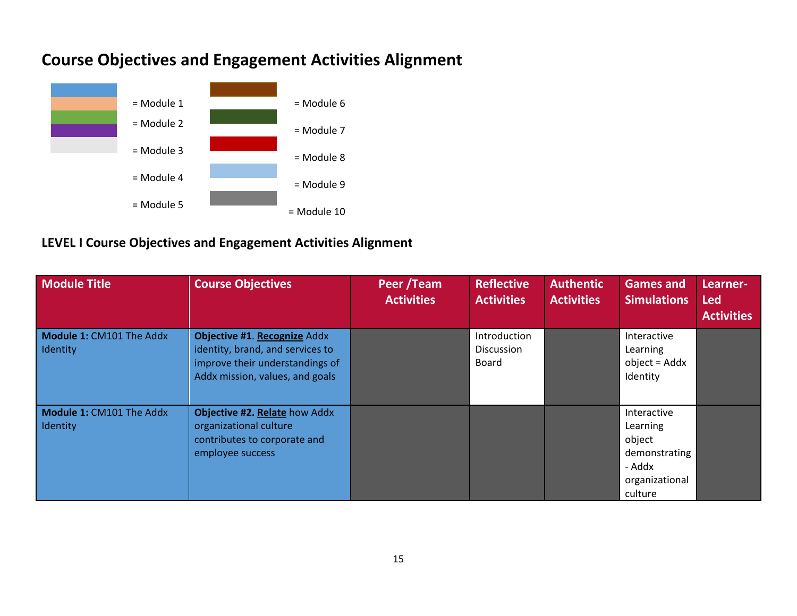

## <span id="page-15-0"></span>**Course Objectives and Engagement Activities Alignment**

#### <span id="page-15-1"></span>**LEVEL I Course Objectives and Engagement Activities Alignment**

| <b>Module Title</b>                  | <b>Course Objectives</b>                                                                                                               | Peer / Team<br><b>Activities</b> | <b>Reflective</b><br><b>Activities</b>            | <b>Authentic</b><br><b>Activities</b> | <b>Games and</b><br><b>Simulations</b>                                                    | Learner-<br><b>Led</b><br><b>Activities</b> |
|--------------------------------------|----------------------------------------------------------------------------------------------------------------------------------------|----------------------------------|---------------------------------------------------|---------------------------------------|-------------------------------------------------------------------------------------------|---------------------------------------------|
| Module 1: CM101 The Addx<br>Identity | Objective #1. Recognize Addx<br>identity, brand, and services to<br>improve their understandings of<br>Addx mission, values, and goals |                                  | Introduction<br><b>Discussion</b><br><b>Board</b> |                                       | Interactive<br>Learning<br>object = Addx<br>Identity                                      |                                             |
| Module 1: CM101 The Addx<br>Identity | Objective #2. Relate how Addx<br>organizational culture<br>contributes to corporate and<br>employee success                            |                                  |                                                   |                                       | Interactive<br>Learning<br>object<br>demonstrating<br>- Addx<br>organizational<br>culture |                                             |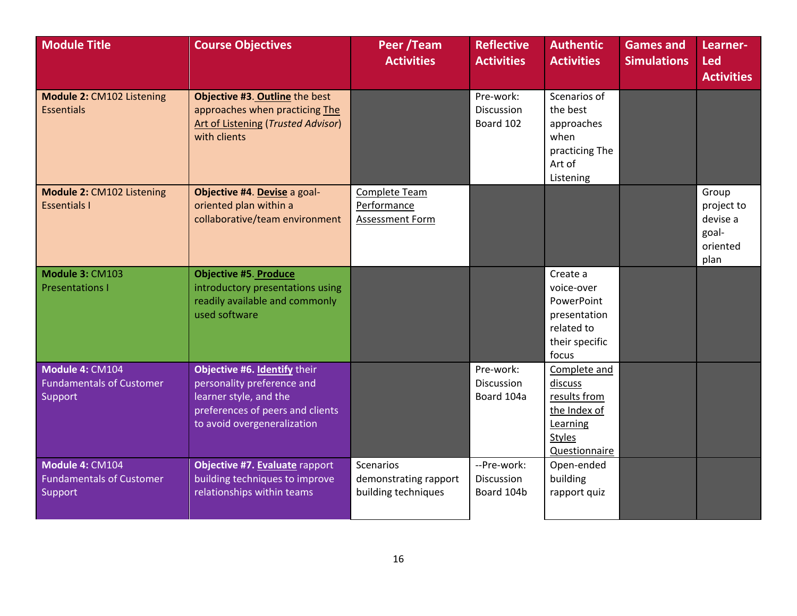| <b>Module Title</b>                                           | <b>Course Objectives</b>                                                                                                                                | Peer /Team<br><b>Activities</b>                           | <b>Reflective</b><br><b>Activities</b>  | <b>Authentic</b><br><b>Activities</b>                                                                        | <b>Games and</b><br><b>Simulations</b> | Learner-<br><b>Led</b><br><b>Activities</b>                  |
|---------------------------------------------------------------|---------------------------------------------------------------------------------------------------------------------------------------------------------|-----------------------------------------------------------|-----------------------------------------|--------------------------------------------------------------------------------------------------------------|----------------------------------------|--------------------------------------------------------------|
| Module 2: CM102 Listening<br><b>Essentials</b>                | Objective #3. Outline the best<br>approaches when practicing The<br><b>Art of Listening (Trusted Advisor)</b><br>with clients                           |                                                           | Pre-work:<br>Discussion<br>Board 102    | Scenarios of<br>the best<br>approaches<br>when<br>practicing The<br>Art of<br>Listening                      |                                        |                                                              |
| Module 2: CM102 Listening<br><b>Essentials I</b>              | Objective #4. Devise a goal-<br>oriented plan within a<br>collaborative/team environment                                                                | Complete Team<br>Performance<br>Assessment Form           |                                         |                                                                                                              |                                        | Group<br>project to<br>devise a<br>goal-<br>oriented<br>plan |
| Module 3: CM103<br><b>Presentations I</b>                     | <b>Objective #5. Produce</b><br>introductory presentations using<br>readily available and commonly<br>used software                                     |                                                           |                                         | Create a<br>voice-over<br>PowerPoint<br>presentation<br>related to<br>their specific<br>focus                |                                        |                                                              |
| Module 4: CM104<br><b>Fundamentals of Customer</b><br>Support | Objective #6. Identify their<br>personality preference and<br>learner style, and the<br>preferences of peers and clients<br>to avoid overgeneralization |                                                           | Pre-work:<br>Discussion<br>Board 104a   | Complete and<br>discuss<br>results from<br>the Index of<br>Learning<br><b>Styles</b><br><b>Questionnaire</b> |                                        |                                                              |
| Module 4: CM104<br><b>Fundamentals of Customer</b><br>Support | Objective #7. Evaluate rapport<br>building techniques to improve<br>relationships within teams                                                          | Scenarios<br>demonstrating rapport<br>building techniques | --Pre-work:<br>Discussion<br>Board 104b | Open-ended<br>building<br>rapport quiz                                                                       |                                        |                                                              |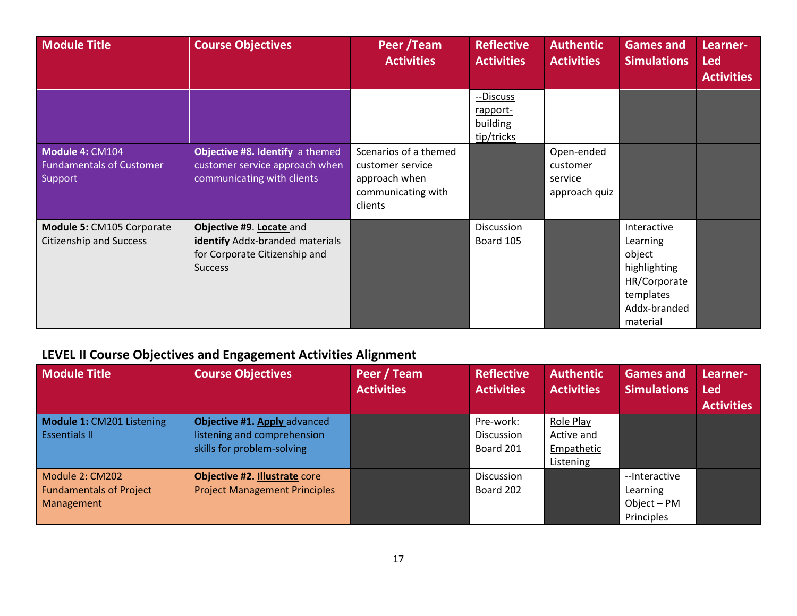| <b>Module Title</b>                                           | <b>Course Objectives</b>                                                                                       | Peer /Team<br><b>Activities</b>                                                             | <b>Reflective</b><br><b>Activities</b>          | <b>Authentic</b><br><b>Activities</b>              | <b>Games and</b><br><b>Simulations</b>                                                                     | Learner-<br><b>Led</b><br><b>Activities</b> |
|---------------------------------------------------------------|----------------------------------------------------------------------------------------------------------------|---------------------------------------------------------------------------------------------|-------------------------------------------------|----------------------------------------------------|------------------------------------------------------------------------------------------------------------|---------------------------------------------|
|                                                               |                                                                                                                |                                                                                             | --Discuss<br>rapport-<br>building<br>tip/tricks |                                                    |                                                                                                            |                                             |
| Module 4: CM104<br><b>Fundamentals of Customer</b><br>Support | Objective #8. Identify a themed<br>customer service approach when<br>communicating with clients                | Scenarios of a themed<br>customer service<br>approach when<br>communicating with<br>clients |                                                 | Open-ended<br>customer<br>service<br>approach quiz |                                                                                                            |                                             |
| Module 5: CM105 Corporate<br><b>Citizenship and Success</b>   | Objective #9. Locate and<br>identify Addx-branded materials<br>for Corporate Citizenship and<br><b>Success</b> |                                                                                             | Discussion<br>Board 105                         |                                                    | Interactive<br>Learning<br>object<br>highlighting<br>HR/Corporate<br>templates<br>Addx-branded<br>material |                                             |

## <span id="page-17-0"></span>**LEVEL II Course Objectives and Engagement Activities Alignment**

| <b>Module Title</b>                                             | <b>Course Objectives</b>                                                                  | Peer / Team<br><b>Activities</b> | <b>Reflective</b><br><b>Activities</b> | <b>Authentic</b><br><b>Activities</b>              | <b>Games and</b><br><b>Simulations</b>                 | Learner-<br><b>Led</b><br><b>Activities</b> |
|-----------------------------------------------------------------|-------------------------------------------------------------------------------------------|----------------------------------|----------------------------------------|----------------------------------------------------|--------------------------------------------------------|---------------------------------------------|
| Module 1: CM201 Listening<br><b>Essentials II</b>               | Objective #1. Apply advanced<br>listening and comprehension<br>skills for problem-solving |                                  | Pre-work:<br>Discussion<br>Board 201   | Role Play<br>Active and<br>Empathetic<br>Listening |                                                        |                                             |
| Module 2: CM202<br><b>Fundamentals of Project</b><br>Management | <b>Objective #2. Illustrate core</b><br><b>Project Management Principles</b>              |                                  | Discussion<br>Board 202                |                                                    | --Interactive<br>Learning<br>Object - PM<br>Principles |                                             |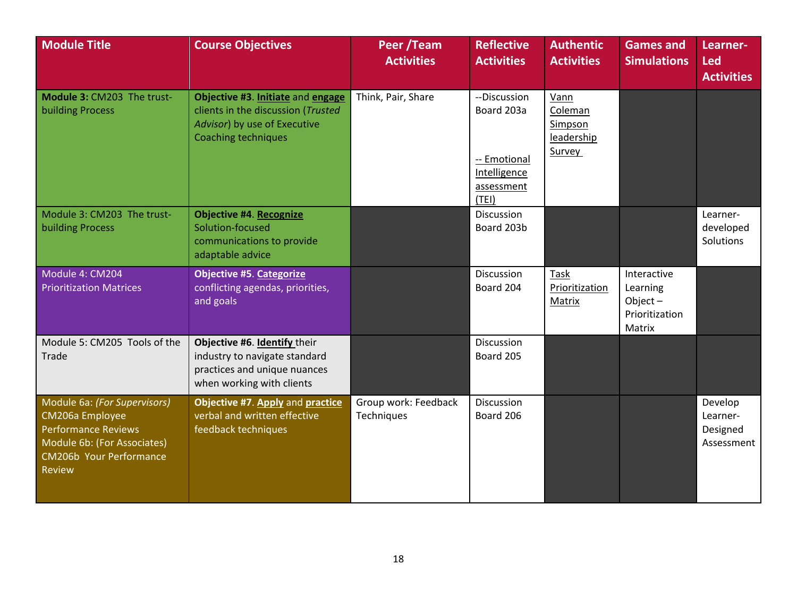| <b>Module Title</b>                                                                                                                                      | <b>Course Objectives</b>                                                                                                              | Peer /Team<br><b>Activities</b>    | <b>Reflective</b><br><b>Activities</b>                                           | <b>Authentic</b><br><b>Activities</b>              | <b>Games and</b><br><b>Simulations</b>                            | Learner-<br><b>Led</b><br><b>Activities</b>   |
|----------------------------------------------------------------------------------------------------------------------------------------------------------|---------------------------------------------------------------------------------------------------------------------------------------|------------------------------------|----------------------------------------------------------------------------------|----------------------------------------------------|-------------------------------------------------------------------|-----------------------------------------------|
| Module 3: CM203 The trust-<br><b>building Process</b>                                                                                                    | Objective #3. Initiate and engage<br>clients in the discussion (Trusted<br>Advisor) by use of Executive<br><b>Coaching techniques</b> | Think, Pair, Share                 | --Discussion<br>Board 203a<br>-- Emotional<br>Intelligence<br>assessment<br>(TE) | Vann<br>Coleman<br>Simpson<br>leadership<br>Survey |                                                                   |                                               |
| Module 3: CM203 The trust-<br><b>building Process</b>                                                                                                    | <b>Objective #4. Recognize</b><br>Solution-focused<br>communications to provide<br>adaptable advice                                   |                                    | Discussion<br>Board 203b                                                         |                                                    |                                                                   | Learner-<br>developed<br>Solutions            |
| Module 4: CM204<br><b>Prioritization Matrices</b>                                                                                                        | <b>Objective #5. Categorize</b><br>conflicting agendas, priorities,<br>and goals                                                      |                                    | Discussion<br>Board 204                                                          | Task<br>Prioritization<br>Matrix                   | Interactive<br>Learning<br>Object $-$<br>Prioritization<br>Matrix |                                               |
| Module 5: CM205 Tools of the<br>Trade                                                                                                                    | Objective #6. Identify their<br>industry to navigate standard<br>practices and unique nuances<br>when working with clients            |                                    | Discussion<br>Board 205                                                          |                                                    |                                                                   |                                               |
| Module 6a: (For Supervisors)<br>CM206a Employee<br><b>Performance Reviews</b><br>Module 6b: (For Associates)<br>CM206b Your Performance<br><b>Review</b> | Objective #7. Apply and practice<br>verbal and written effective<br>feedback techniques                                               | Group work: Feedback<br>Techniques | Discussion<br>Board 206                                                          |                                                    |                                                                   | Develop<br>Learner-<br>Designed<br>Assessment |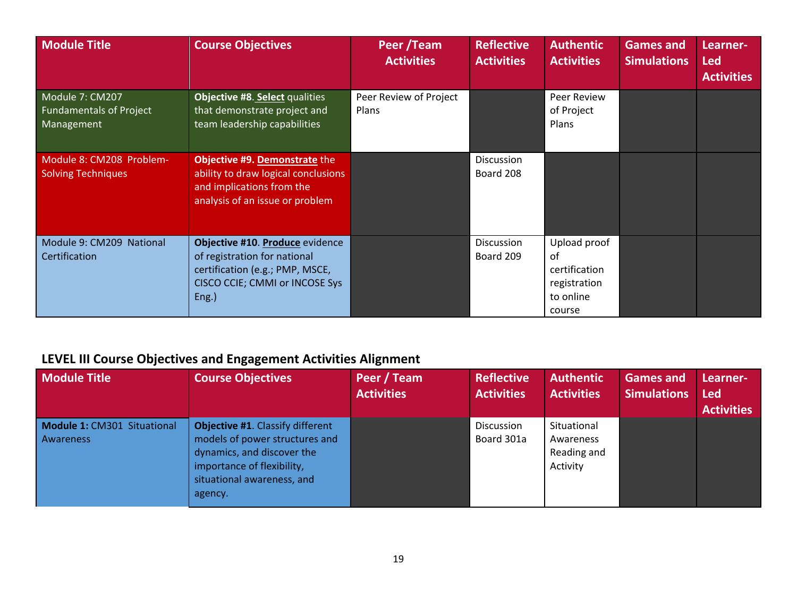| <b>Module Title</b>                                             | <b>Course Objectives</b>                                                                                                                      | Peer /Team<br><b>Activities</b>        | <b>Reflective</b><br><b>Activities</b> | <b>Authentic</b><br><b>Activities</b>                                      | <b>Games and</b><br><b>Simulations</b> | Learner-<br><b>Led</b><br><b>Activities</b> |
|-----------------------------------------------------------------|-----------------------------------------------------------------------------------------------------------------------------------------------|----------------------------------------|----------------------------------------|----------------------------------------------------------------------------|----------------------------------------|---------------------------------------------|
| Module 7: CM207<br><b>Fundamentals of Project</b><br>Management | Objective #8. Select qualities<br>that demonstrate project and<br>team leadership capabilities                                                | Peer Review of Project<br><b>Plans</b> |                                        | Peer Review<br>of Project<br>Plans                                         |                                        |                                             |
| Module 8: CM208 Problem-<br>Solving Techniques                  | Objective #9. Demonstrate the<br>ability to draw logical conclusions<br>and implications from the<br>analysis of an issue or problem          |                                        | Discussion<br>Board 208                |                                                                            |                                        |                                             |
| Module 9: CM209 National<br>Certification                       | Objective #10. Produce evidence<br>of registration for national<br>certification (e.g.; PMP, MSCE,<br>CISCO CCIE; CMMI or INCOSE Sys<br>Eng.) |                                        | Discussion<br>Board 209                | Upload proof<br>of<br>certification<br>registration<br>to online<br>course |                                        |                                             |

## <span id="page-19-0"></span>**LEVEL III Course Objectives and Engagement Activities Alignment**

| <b>Module Title</b>                             | <b>Course Objectives</b>                                                                                                                                                | Peer / Team<br><b>Activities</b> | <b>Reflective</b><br><b>Activities</b> | <b>Authentic</b><br><b>Activities</b>               | <b>Games and</b><br><b>Simulations</b> | Learner-<br><b>Led</b><br><b>Activities</b> |
|-------------------------------------------------|-------------------------------------------------------------------------------------------------------------------------------------------------------------------------|----------------------------------|----------------------------------------|-----------------------------------------------------|----------------------------------------|---------------------------------------------|
| Module 1: CM301 Situational<br><b>Awareness</b> | Objective #1. Classify different<br>models of power structures and<br>dynamics, and discover the<br>importance of flexibility,<br>situational awareness, and<br>agency. |                                  | Discussion<br>Board 301a               | Situational<br>Awareness<br>Reading and<br>Activity |                                        |                                             |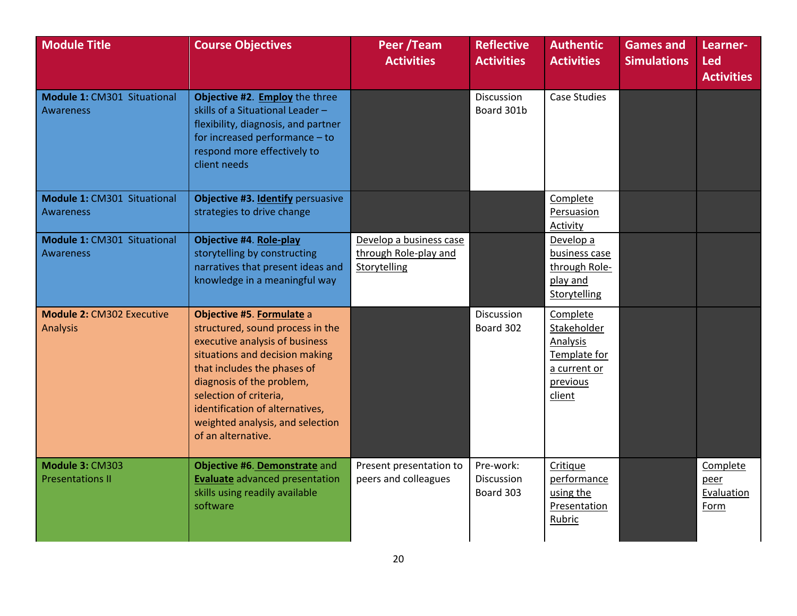| <b>Module Title</b>                                 | <b>Course Objectives</b>                                                                                                                                                                                                                                                                                             | Peer /Team<br><b>Activities</b>                                  | <b>Reflective</b><br><b>Activities</b>      | <b>Authentic</b><br><b>Activities</b>                                                     | <b>Games and</b><br><b>Simulations</b> | Learner-<br><b>Led</b><br><b>Activities</b> |
|-----------------------------------------------------|----------------------------------------------------------------------------------------------------------------------------------------------------------------------------------------------------------------------------------------------------------------------------------------------------------------------|------------------------------------------------------------------|---------------------------------------------|-------------------------------------------------------------------------------------------|----------------------------------------|---------------------------------------------|
| Module 1: CM301 Situational<br><b>Awareness</b>     | Objective #2. Employ the three<br>skills of a Situational Leader-<br>flexibility, diagnosis, and partner<br>for increased performance - to<br>respond more effectively to<br>client needs                                                                                                                            |                                                                  | Discussion<br>Board 301b                    | <b>Case Studies</b>                                                                       |                                        |                                             |
| Module 1: CM301 Situational<br><b>Awareness</b>     | Objective #3. Identify persuasive<br>strategies to drive change                                                                                                                                                                                                                                                      |                                                                  |                                             | Complete<br>Persuasion<br>Activity                                                        |                                        |                                             |
| Module 1: CM301 Situational<br><b>Awareness</b>     | <b>Objective #4. Role-play</b><br>storytelling by constructing<br>narratives that present ideas and<br>knowledge in a meaningful way                                                                                                                                                                                 | Develop a business case<br>through Role-play and<br>Storytelling |                                             | Develop a<br>business case<br>through Role-<br>play and<br>Storytelling                   |                                        |                                             |
| <b>Module 2: CM302 Executive</b><br><b>Analysis</b> | Objective #5. Formulate a<br>structured, sound process in the<br>executive analysis of business<br>situations and decision making<br>that includes the phases of<br>diagnosis of the problem,<br>selection of criteria,<br>identification of alternatives,<br>weighted analysis, and selection<br>of an alternative. |                                                                  | Discussion<br>Board 302                     | Complete<br>Stakeholder<br>Analysis<br>Template for<br>a current or<br>previous<br>client |                                        |                                             |
| Module 3: CM303<br><b>Presentations II</b>          | Objective #6. Demonstrate and<br><b>Evaluate</b> advanced presentation<br>skills using readily available<br>software                                                                                                                                                                                                 | Present presentation to<br>peers and colleagues                  | Pre-work:<br><b>Discussion</b><br>Board 303 | Critique<br>performance<br>using the<br>Presentation<br>Rubric                            |                                        | Complete<br>peer<br>Evaluation<br>Form      |